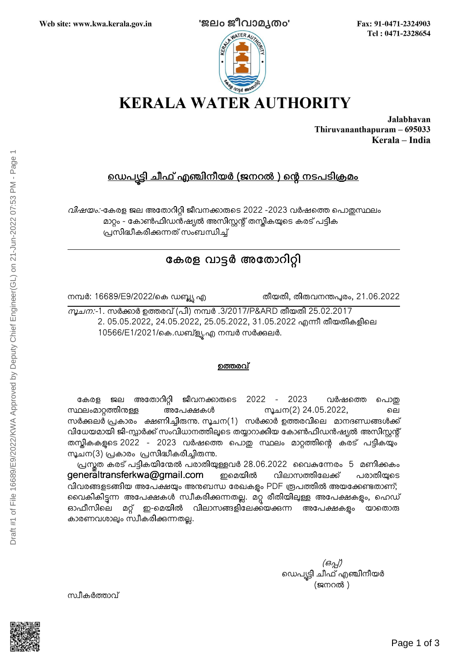

Fax: 91-0471-2324903 Tel: 0471-2328654



Jalabhavan Thiruvananthapuram - 695033 Kerala - India

## <u>ഡെപട്ടി ചീഫ് എഞ്ചിനീയർ (ജനറൽ ) ന്റെ നടപടിക്രമം</u>

വിഷയം:-കേരള ജല അതോറിറ്റി ജീവനക്കാരുടെ 2022 -2023 വർഷത്തെ പൊതുസ്ഥലം മാറ്റം - കോൺഫിഡൻഷ്യൽ അസിസ്റ്റന്റ് തസ്തികയുടെ കരട് പട്ടിക പ്രസിദ്ധീകരിക്കന്നത് സംബന്ധിച്ച്

# കേരള വാട്ടർ അതോറിറ്റി

നമ്പർ: 16689/E9/2022/കെ ഡബ്ല്യ എ

തീയതി, തിരുവനന്തപുരം, 21.06.2022

*സൂചന:*-1. സർക്കാർ ഉത്തരവ് (പി) നമ്പർ .3/2017/P&ARD തീയതി 25.02.2017 2. 05.05.2022, 24.05.2022, 25.05.2022, 31.05.2022 എന്നീ തീയതികളിലെ 10566/E1/2021/കെ.ഡബ്ള്യൂ.എ നമ്പർ സർക്കുലർ.

### <u>ഉത്തരവ്</u>

കേരള ജല അതോറിറ്റി ജീവനക്കാരുടെ 2022 - 2023 വർഷത്തെ പൊതു  $m$ ്ലംമാറ്റത്തിനുള്ള അപേക്ഷകൾ സൂചന(2) 24.05.2022, ലെ സർക്കലർ പ്രകാരം ക്ഷണിച്ചിരുന്നു. സൂചന(1) സർക്കാർ ഉത്തരവിലെ മാനദണ്ഡങ്ങൾക്ക് വിധേയമായി ജി-സ്റ്റാർക്ക് സംവിധാനത്തിലൂടെ തയ്യാറാക്കിയ കോൺഫിഡൻഷ്യൽ അസിസ്റ്റന്റ് തസ്ലികകളടെ 2022 - 2023 വർഷത്തെ പൊതു സ്ഥലം മാറ്റത്തിന്റെ കരട് പട്ടികയും സൂചന(3) പ്രകാരം പ്രസിദ്ധീകരിച്ചിരുന്നു.

പ്രസ്തത കരട് പട്ടികയിന്മേൽ പരാതിയുള്ളവർ 28.06.2022 വൈകന്നേരം 5 മണിക്കകം  $g$ eneraltransferkwa@gmail.com ഇമെയിൽ വിലാസത്തിലേക്ക് പരാതിയുടെ വിവരങ്ങളടങ്ങിയ അപേക്ഷയും അനുബന്ധ രേഖകളം PDF രൂപത്തിൽ അയക്കേണ്ടതാണ്; വൈകികിട്ടന്ന അപേക്ഷകൾ സ്വീകരിക്കുന്നതല്ല. മറ്റ രീതിയിലുള്ള അപേക്ഷകളും, ഹെഡ് ഓഫീസിലെ മറ്റ് ഇ-മെയിൽ വിലാസങ്ങളിലേക്ക്യക്കന്ന അപേക്ഷകളം യാതൊരു കാരണവശാലും സ്വീകരിക്കുന്നതല്ല.

(ഒപ്) ഡെപ്യട്ടി ചീഫ് എഞ്ചിനീയർ (ജനറൽ )

സ്ഥീകർത്താവ്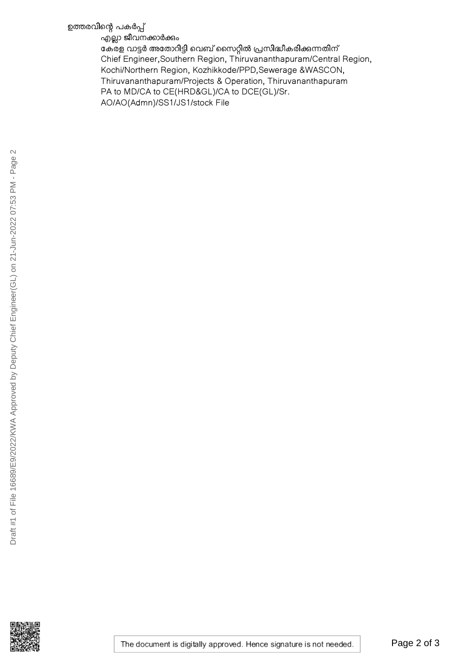### ഉത്തരവിന്റെ പകർപ്പ്

എല്ലാ ജീവനക്കാർക്കും

ഭകരള വാട്ടർ അതോറിട്ടി വെബ് സൈറ്റിൽ പ്രസിദ്ധീകരിക്കുന്നതിന് Chief Engineer,Southern Region, Thiruvananthapuram/Central Region, Kochi/Northern Region, Kozhikkode/PPD,Sewerage &WASCON, Thiruvananthapuram/Projects & Operation, Thiruvananthapuram PA to MD/CA to CE(HRD&GL)/CA to DCE(GL)/Sr. AO/AO(Admn)/SS1/JS1/stock File